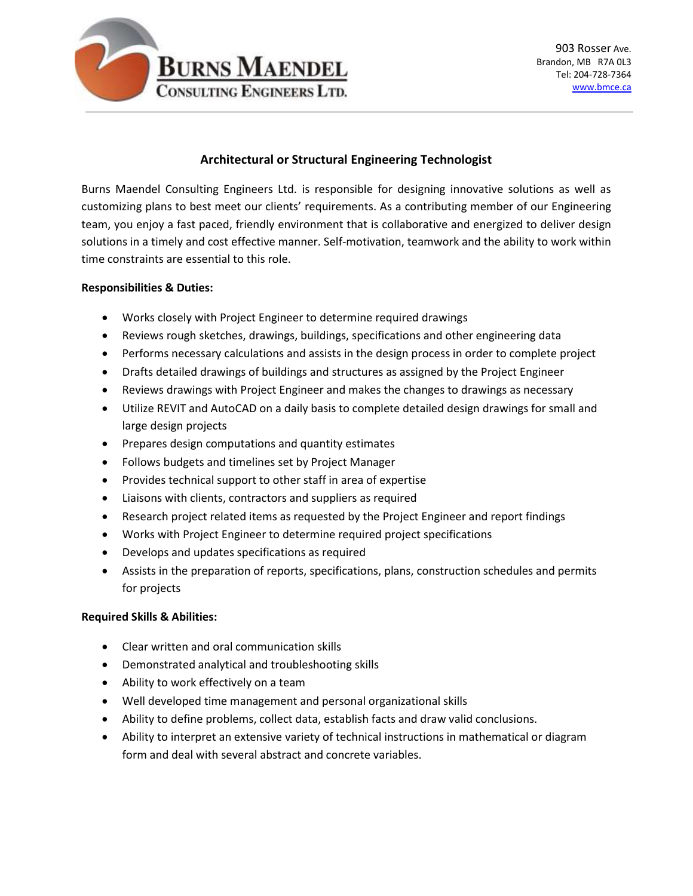

# **Architectural or Structural Engineering Technologist**

Burns Maendel Consulting Engineers Ltd. is responsible for designing innovative solutions as well as customizing plans to best meet our clients' requirements. As a contributing member of our Engineering team, you enjoy a fast paced, friendly environment that is collaborative and energized to deliver design solutions in a timely and cost effective manner. Self-motivation, teamwork and the ability to work within time constraints are essential to this role.

### **Responsibilities & Duties:**

- Works closely with Project Engineer to determine required drawings
- Reviews rough sketches, drawings, buildings, specifications and other engineering data
- Performs necessary calculations and assists in the design process in order to complete project
- Drafts detailed drawings of buildings and structures as assigned by the Project Engineer
- Reviews drawings with Project Engineer and makes the changes to drawings as necessary
- Utilize REVIT and AutoCAD on a daily basis to complete detailed design drawings for small and large design projects
- Prepares design computations and quantity estimates
- Follows budgets and timelines set by Project Manager
- Provides technical support to other staff in area of expertise
- Liaisons with clients, contractors and suppliers as required
- Research project related items as requested by the Project Engineer and report findings
- Works with Project Engineer to determine required project specifications
- Develops and updates specifications as required
- Assists in the preparation of reports, specifications, plans, construction schedules and permits for projects

# **Required Skills & Abilities:**

- Clear written and oral communication skills
- Demonstrated analytical and troubleshooting skills
- Ability to work effectively on a team
- Well developed time management and personal organizational skills
- Ability to define problems, collect data, establish facts and draw valid conclusions.
- Ability to interpret an extensive variety of technical instructions in mathematical or diagram form and deal with several abstract and concrete variables.